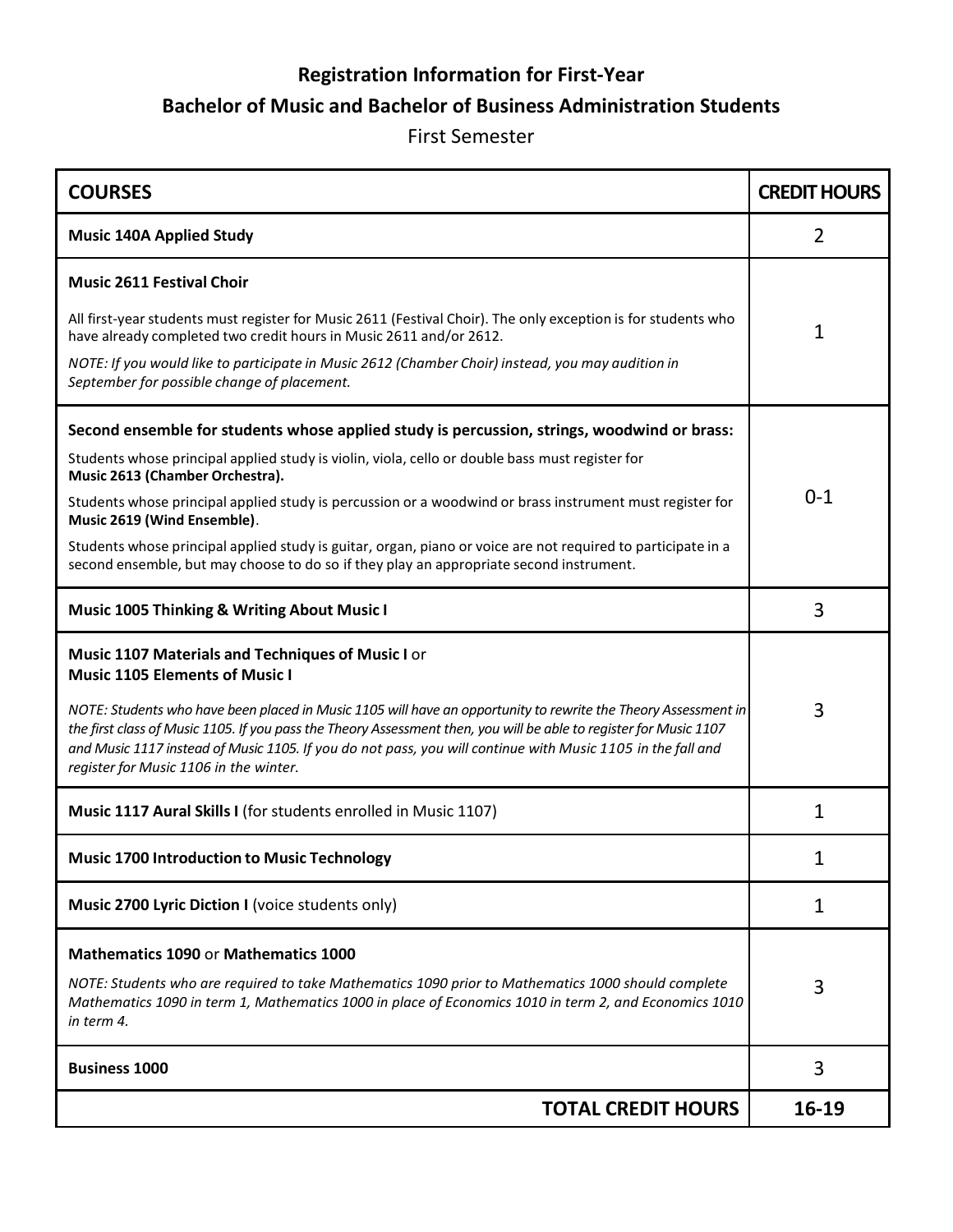# **Registration Information for First-Year Bachelor of Music and Bachelor of Business Administration Students**

#### First Semester

| <b>COURSES</b>                                                                                                                                                                                                                                                                                                                                                                                | <b>CREDIT HOURS</b> |
|-----------------------------------------------------------------------------------------------------------------------------------------------------------------------------------------------------------------------------------------------------------------------------------------------------------------------------------------------------------------------------------------------|---------------------|
| <b>Music 140A Applied Study</b>                                                                                                                                                                                                                                                                                                                                                               | $\overline{2}$      |
| <b>Music 2611 Festival Choir</b>                                                                                                                                                                                                                                                                                                                                                              |                     |
| All first-year students must register for Music 2611 (Festival Choir). The only exception is for students who<br>have already completed two credit hours in Music 2611 and/or 2612.                                                                                                                                                                                                           | $\mathbf{1}$        |
| NOTE: If you would like to participate in Music 2612 (Chamber Choir) instead, you may audition in<br>September for possible change of placement.                                                                                                                                                                                                                                              |                     |
| Second ensemble for students whose applied study is percussion, strings, woodwind or brass:                                                                                                                                                                                                                                                                                                   |                     |
| Students whose principal applied study is violin, viola, cello or double bass must register for<br>Music 2613 (Chamber Orchestra).                                                                                                                                                                                                                                                            |                     |
| Students whose principal applied study is percussion or a woodwind or brass instrument must register for<br>Music 2619 (Wind Ensemble).                                                                                                                                                                                                                                                       | $0 - 1$             |
| Students whose principal applied study is guitar, organ, piano or voice are not required to participate in a<br>second ensemble, but may choose to do so if they play an appropriate second instrument.                                                                                                                                                                                       |                     |
| <b>Music 1005 Thinking &amp; Writing About Music I</b>                                                                                                                                                                                                                                                                                                                                        | 3                   |
| Music 1107 Materials and Techniques of Music I or<br><b>Music 1105 Elements of Music I</b>                                                                                                                                                                                                                                                                                                    |                     |
| NOTE: Students who have been placed in Music 1105 will have an opportunity to rewrite the Theory Assessment in<br>the first class of Music 1105. If you pass the Theory Assessment then, you will be able to register for Music 1107<br>and Music 1117 instead of Music 1105. If you do not pass, you will continue with Music 1105 in the fall and<br>register for Music 1106 in the winter. | 3                   |
| Music 1117 Aural Skills I (for students enrolled in Music 1107)                                                                                                                                                                                                                                                                                                                               | $\mathbf{1}$        |
| <b>Music 1700 Introduction to Music Technology</b>                                                                                                                                                                                                                                                                                                                                            | 1                   |
| Music 2700 Lyric Diction I (voice students only)                                                                                                                                                                                                                                                                                                                                              | 1                   |
| <b>Mathematics 1090 or Mathematics 1000</b>                                                                                                                                                                                                                                                                                                                                                   |                     |
| NOTE: Students who are required to take Mathematics 1090 prior to Mathematics 1000 should complete<br>Mathematics 1090 in term 1, Mathematics 1000 in place of Economics 1010 in term 2, and Economics 1010<br>in term 4.                                                                                                                                                                     | 3                   |
| <b>Business 1000</b>                                                                                                                                                                                                                                                                                                                                                                          | 3                   |
| <b>TOTAL CREDIT HOURS</b>                                                                                                                                                                                                                                                                                                                                                                     | 16-19               |